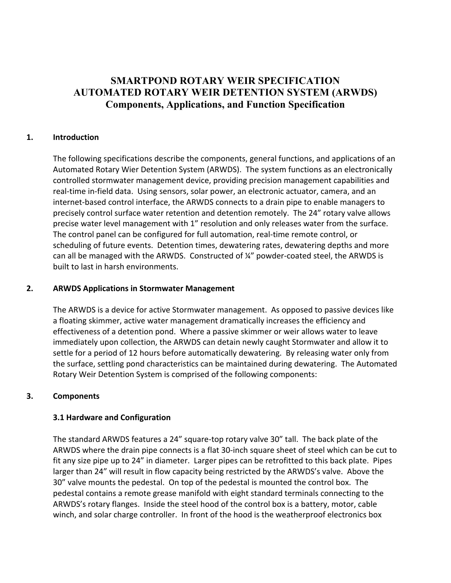# **SMARTPOND ROTARY WEIR SPECIFICATION AUTOMATED ROTARY WEIR DETENTION SYSTEM (ARWDS) Components, Applications, and Function Specification**

## **1. Introduction**

The following specifications describe the components, general functions, and applications of an Automated Rotary Wier Detention System (ARWDS). The system functions as an electronically controlled stormwater management device, providing precision management capabilities and real-time in-field data. Using sensors, solar power, an electronic actuator, camera, and an internet-based control interface, the ARWDS connects to a drain pipe to enable managers to precisely control surface water retention and detention remotely. The 24" rotary valve allows precise water level management with 1" resolution and only releases water from the surface. The control panel can be configured for full automation, real-time remote control, or scheduling of future events. Detention times, dewatering rates, dewatering depths and more can all be managed with the ARWDS. Constructed of ¼" powder-coated steel, the ARWDS is built to last in harsh environments.

#### **2. ARWDS Applications in Stormwater Management**

The ARWDS is a device for active Stormwater management. As opposed to passive devices like a floating skimmer, active water management dramatically increases the efficiency and effectiveness of a detention pond. Where a passive skimmer or weir allows water to leave immediately upon collection, the ARWDS can detain newly caught Stormwater and allow it to settle for a period of 12 hours before automatically dewatering. By releasing water only from the surface, settling pond characteristics can be maintained during dewatering. The Automated Rotary Weir Detention System is comprised of the following components:

#### **3. Components**

#### **3.1 Hardware and Configuration**

The standard ARWDS features a 24" square-top rotary valve 30" tall. The back plate of the ARWDS where the drain pipe connects is a flat 30-inch square sheet of steel which can be cut to fit any size pipe up to 24" in diameter. Larger pipes can be retrofitted to this back plate. Pipes larger than 24" will result in flow capacity being restricted by the ARWDS's valve. Above the 30" valve mounts the pedestal. On top of the pedestal is mounted the control box. The pedestal contains a remote grease manifold with eight standard terminals connecting to the ARWDS's rotary flanges. Inside the steel hood of the control box is a battery, motor, cable winch, and solar charge controller. In front of the hood is the weatherproof electronics box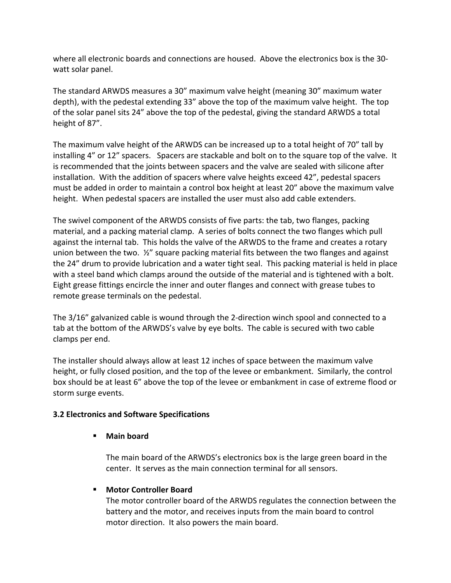where all electronic boards and connections are housed. Above the electronics box is the 30 watt solar panel.

The standard ARWDS measures a 30" maximum valve height (meaning 30" maximum water depth), with the pedestal extending 33" above the top of the maximum valve height. The top of the solar panel sits 24" above the top of the pedestal, giving the standard ARWDS a total height of 87".

The maximum valve height of the ARWDS can be increased up to a total height of 70" tall by installing 4" or 12" spacers. Spacers are stackable and bolt on to the square top of the valve. It is recommended that the joints between spacers and the valve are sealed with silicone after installation. With the addition of spacers where valve heights exceed 42", pedestal spacers must be added in order to maintain a control box height at least 20" above the maximum valve height. When pedestal spacers are installed the user must also add cable extenders.

The swivel component of the ARWDS consists of five parts: the tab, two flanges, packing material, and a packing material clamp. A series of bolts connect the two flanges which pull against the internal tab. This holds the valve of the ARWDS to the frame and creates a rotary union between the two. ½" square packing material fits between the two flanges and against the 24" drum to provide lubrication and a water tight seal. This packing material is held in place with a steel band which clamps around the outside of the material and is tightened with a bolt. Eight grease fittings encircle the inner and outer flanges and connect with grease tubes to remote grease terminals on the pedestal.

The 3/16" galvanized cable is wound through the 2-direction winch spool and connected to a tab at the bottom of the ARWDS's valve by eye bolts. The cable is secured with two cable clamps per end.

The installer should always allow at least 12 inches of space between the maximum valve height, or fully closed position, and the top of the levee or embankment. Similarly, the control box should be at least 6" above the top of the levee or embankment in case of extreme flood or storm surge events.

## **3.2 Electronics and Software Specifications**

## § **Main board**

The main board of the ARWDS's electronics box is the large green board in the center. It serves as the main connection terminal for all sensors.

## ■ Motor Controller Board

The motor controller board of the ARWDS regulates the connection between the battery and the motor, and receives inputs from the main board to control motor direction. It also powers the main board.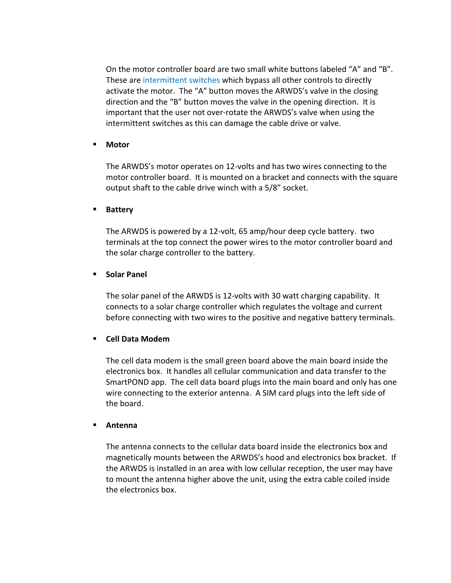On the motor controller board are two small white buttons labeled "A" and "B". These are intermittent switches which bypass all other controls to directly activate the motor. The "A" button moves the ARWDS's valve in the closing direction and the "B" button moves the valve in the opening direction. It is important that the user not over-rotate the ARWDS's valve when using the intermittent switches as this can damage the cable drive or valve.

#### § **Motor**

The ARWDS's motor operates on 12-volts and has two wires connecting to the motor controller board. It is mounted on a bracket and connects with the square output shaft to the cable drive winch with a 5/8" socket.

#### § **Battery**

The ARWDS is powered by a 12-volt, 65 amp/hour deep cycle battery. two terminals at the top connect the power wires to the motor controller board and the solar charge controller to the battery.

#### § **Solar Panel**

The solar panel of the ARWDS is 12-volts with 30 watt charging capability. It connects to a solar charge controller which regulates the voltage and current before connecting with two wires to the positive and negative battery terminals.

#### § **Cell Data Modem**

The cell data modem is the small green board above the main board inside the electronics box. It handles all cellular communication and data transfer to the SmartPOND app. The cell data board plugs into the main board and only has one wire connecting to the exterior antenna. A SIM card plugs into the left side of the board.

#### § **Antenna**

The antenna connects to the cellular data board inside the electronics box and magnetically mounts between the ARWDS's hood and electronics box bracket. If the ARWDS is installed in an area with low cellular reception, the user may have to mount the antenna higher above the unit, using the extra cable coiled inside the electronics box.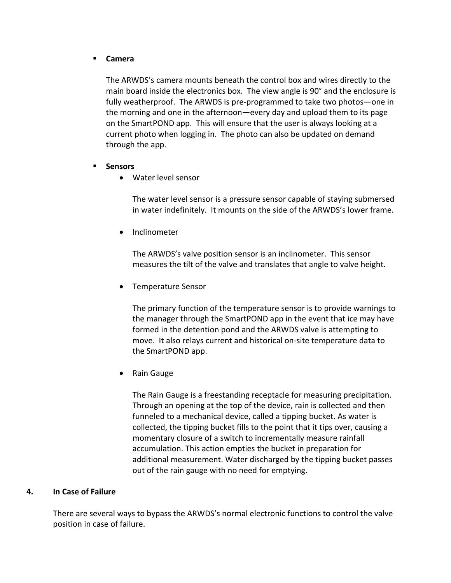#### § **Camera**

The ARWDS's camera mounts beneath the control box and wires directly to the main board inside the electronics box. The view angle is 90° and the enclosure is fully weatherproof. The ARWDS is pre-programmed to take two photos—one in the morning and one in the afternoon—every day and upload them to its page on the SmartPOND app. This will ensure that the user is always looking at a current photo when logging in. The photo can also be updated on demand through the app.

- § **Sensors**
	- Water level sensor

The water level sensor is a pressure sensor capable of staying submersed in water indefinitely. It mounts on the side of the ARWDS's lower frame.

• Inclinometer

The ARWDS's valve position sensor is an inclinometer. This sensor measures the tilt of the valve and translates that angle to valve height.

• Temperature Sensor

The primary function of the temperature sensor is to provide warnings to the manager through the SmartPOND app in the event that ice may have formed in the detention pond and the ARWDS valve is attempting to move. It also relays current and historical on-site temperature data to the SmartPOND app.

• Rain Gauge

The Rain Gauge is a freestanding receptacle for measuring precipitation. Through an opening at the top of the device, rain is collected and then funneled to a mechanical device, called a tipping bucket. As water is collected, the tipping bucket fills to the point that it tips over, causing a momentary closure of a switch to incrementally measure rainfall accumulation. This action empties the bucket in preparation for additional measurement. Water discharged by the tipping bucket passes out of the rain gauge with no need for emptying.

## **4. In Case of Failure**

There are several ways to bypass the ARWDS's normal electronic functions to control the valve position in case of failure.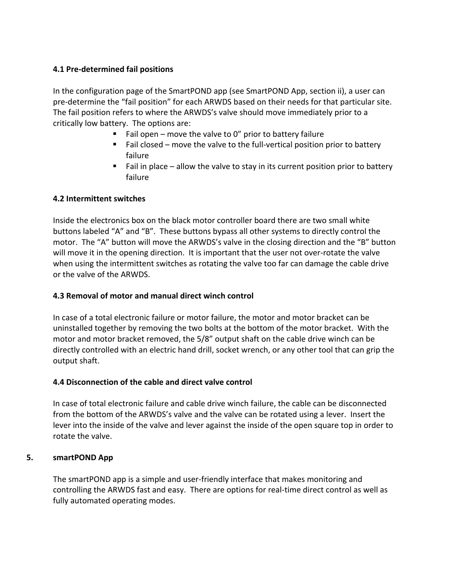## **4.1 Pre-determined fail positions**

In the configuration page of the SmartPOND app (see SmartPOND App, section ii), a user can pre-determine the "fail position" for each ARWDS based on their needs for that particular site. The fail position refers to where the ARWDS's valve should move immediately prior to a critically low battery. The options are:

- Fail open move the valve to 0" prior to battery failure
- Fail closed move the valve to the full-vertical position prior to battery failure
- Fail in place allow the valve to stay in its current position prior to battery failure

## **4.2 Intermittent switches**

Inside the electronics box on the black motor controller board there are two small white buttons labeled "A" and "B". These buttons bypass all other systems to directly control the motor. The "A" button will move the ARWDS's valve in the closing direction and the "B" button will move it in the opening direction. It is important that the user not over-rotate the valve when using the intermittent switches as rotating the valve too far can damage the cable drive or the valve of the ARWDS.

## **4.3 Removal of motor and manual direct winch control**

In case of a total electronic failure or motor failure, the motor and motor bracket can be uninstalled together by removing the two bolts at the bottom of the motor bracket. With the motor and motor bracket removed, the 5/8" output shaft on the cable drive winch can be directly controlled with an electric hand drill, socket wrench, or any other tool that can grip the output shaft.

#### **4.4 Disconnection of the cable and direct valve control**

In case of total electronic failure and cable drive winch failure, the cable can be disconnected from the bottom of the ARWDS's valve and the valve can be rotated using a lever. Insert the lever into the inside of the valve and lever against the inside of the open square top in order to rotate the valve.

#### **5. smartPOND App**

The smartPOND app is a simple and user-friendly interface that makes monitoring and controlling the ARWDS fast and easy. There are options for real-time direct control as well as fully automated operating modes.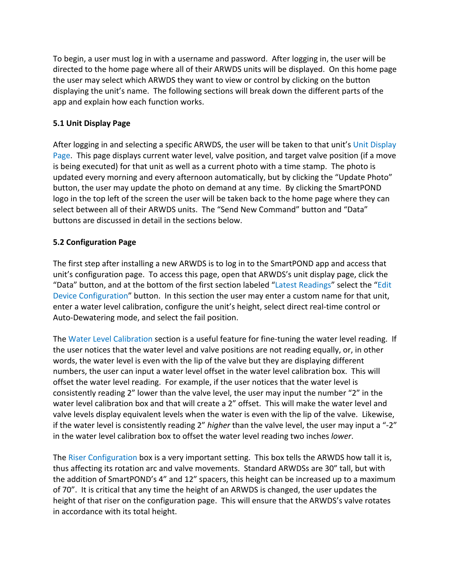To begin, a user must log in with a username and password. After logging in, the user will be directed to the home page where all of their ARWDS units will be displayed. On this home page the user may select which ARWDS they want to view or control by clicking on the button displaying the unit's name. The following sections will break down the different parts of the app and explain how each function works.

## **5.1 Unit Display Page**

After logging in and selecting a specific ARWDS, the user will be taken to that unit's Unit Display Page. This page displays current water level, valve position, and target valve position (if a move is being executed) for that unit as well as a current photo with a time stamp. The photo is updated every morning and every afternoon automatically, but by clicking the "Update Photo" button, the user may update the photo on demand at any time. By clicking the SmartPOND logo in the top left of the screen the user will be taken back to the home page where they can select between all of their ARWDS units. The "Send New Command" button and "Data" buttons are discussed in detail in the sections below.

## **5.2 Configuration Page**

The first step after installing a new ARWDS is to log in to the SmartPOND app and access that unit's configuration page. To access this page, open that ARWDS's unit display page, click the "Data" button, and at the bottom of the first section labeled "Latest Readings" select the "Edit Device Configuration" button. In this section the user may enter a custom name for that unit, enter a water level calibration, configure the unit's height, select direct real-time control or Auto-Dewatering mode, and select the fail position.

The Water Level Calibration section is a useful feature for fine-tuning the water level reading. If the user notices that the water level and valve positions are not reading equally, or, in other words, the water level is even with the lip of the valve but they are displaying different numbers, the user can input a water level offset in the water level calibration box. This will offset the water level reading. For example, if the user notices that the water level is consistently reading 2" lower than the valve level, the user may input the number "2" in the water level calibration box and that will create a 2" offset. This will make the water level and valve levels display equivalent levels when the water is even with the lip of the valve. Likewise, if the water level is consistently reading 2" *higher* than the valve level, the user may input a "-2" in the water level calibration box to offset the water level reading two inches *lower*.

The Riser Configuration box is a very important setting. This box tells the ARWDS how tall it is, thus affecting its rotation arc and valve movements. Standard ARWDSs are 30" tall, but with the addition of SmartPOND's 4" and 12" spacers, this height can be increased up to a maximum of 70". It is critical that any time the height of an ARWDS is changed, the user updates the height of that riser on the configuration page. This will ensure that the ARWDS's valve rotates in accordance with its total height.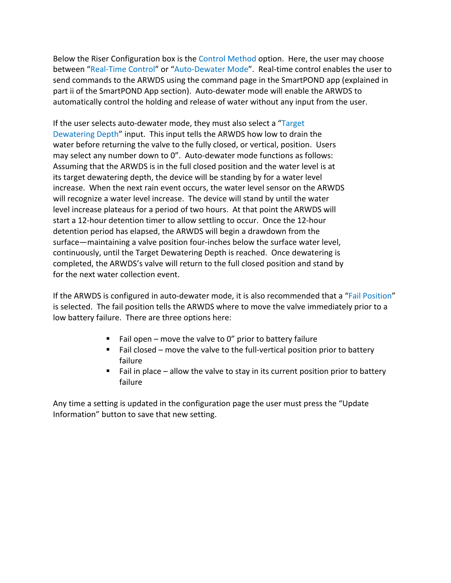Below the Riser Configuration box is the Control Method option. Here, the user may choose between "Real-Time Control" or "Auto-Dewater Mode". Real-time control enables the user to send commands to the ARWDS using the command page in the SmartPOND app (explained in part ii of the SmartPOND App section). Auto-dewater mode will enable the ARWDS to automatically control the holding and release of water without any input from the user.

If the user selects auto-dewater mode, they must also select a "Target Dewatering Depth" input. This input tells the ARWDS how low to drain the water before returning the valve to the fully closed, or vertical, position. Users may select any number down to 0". Auto-dewater mode functions as follows: Assuming that the ARWDS is in the full closed position and the water level is at its target dewatering depth, the device will be standing by for a water level increase. When the next rain event occurs, the water level sensor on the ARWDS will recognize a water level increase. The device will stand by until the water level increase plateaus for a period of two hours. At that point the ARWDS will start a 12-hour detention timer to allow settling to occur. Once the 12-hour detention period has elapsed, the ARWDS will begin a drawdown from the surface—maintaining a valve position four-inches below the surface water level, continuously, until the Target Dewatering Depth is reached. Once dewatering is completed, the ARWDS's valve will return to the full closed position and stand by for the next water collection event.

If the ARWDS is configured in auto-dewater mode, it is also recommended that a "Fail Position" is selected. The fail position tells the ARWDS where to move the valve immediately prior to a low battery failure. There are three options here:

- Fail open move the valve to 0" prior to battery failure
- Fail closed move the valve to the full-vertical position prior to battery failure
- Fail in place allow the valve to stay in its current position prior to battery failure

Any time a setting is updated in the configuration page the user must press the "Update Information" button to save that new setting.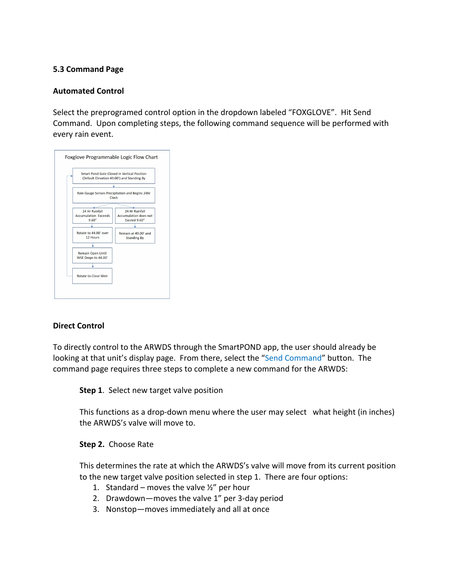#### **5.3 Command Page**

## **Automated Control**

Select the preprogramed control option in the dropdown labeled "FOXGLOVE". Hit Send Command. Upon completing steps, the following command sequence will be performed with every rain event.

|                                       | Smart Pond Gate Closed in Vertical Position<br>(Default Elevation 49.00') and Standing By |
|---------------------------------------|-------------------------------------------------------------------------------------------|
|                                       |                                                                                           |
|                                       | Rain Gauge Senses Precipitation and Begins 24hr<br>Clock                                  |
|                                       |                                                                                           |
| 24 Hr Rainfall                        | 24 Hr Rainfall                                                                            |
| <b>Accumulation Exceeds</b><br>9.60'' | <b>Accumulation does not</b><br>Exceed 9.60"                                              |
|                                       |                                                                                           |
|                                       |                                                                                           |
| Rotate to 44.00' over<br>12 Hours     | Remain at 49.00' and                                                                      |
|                                       | <b>Standing By</b>                                                                        |
|                                       |                                                                                           |
| Remain Open Until                     |                                                                                           |
| WSE Drops to 44.00'                   |                                                                                           |
|                                       |                                                                                           |
|                                       |                                                                                           |
| Rotate to Close Weir                  |                                                                                           |

#### **Direct Control**

To directly control to the ARWDS through the SmartPOND app, the user should already be looking at that unit's display page. From there, select the "Send Command" button. The command page requires three steps to complete a new command for the ARWDS:

**Step 1**. Select new target valve position

This functions as a drop-down menu where the user may select what height (in inches) the ARWDS's valve will move to.

#### **Step 2.** Choose Rate

This determines the rate at which the ARWDS's valve will move from its current position to the new target valve position selected in step 1. There are four options:

- 1. Standard moves the valve  $\frac{1}{2}$ " per hour
- 2. Drawdown—moves the valve 1" per 3-day period
- 3. Nonstop—moves immediately and all at once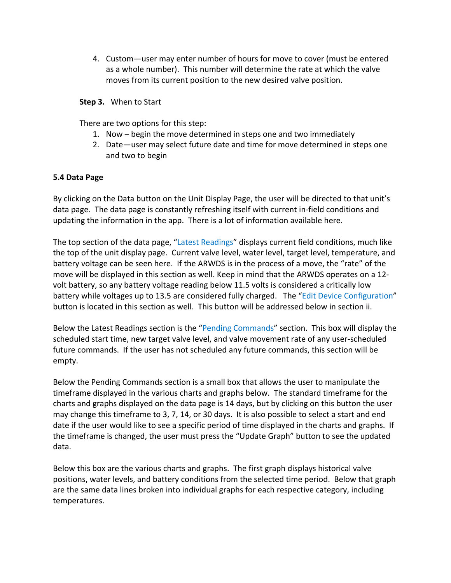4. Custom—user may enter number of hours for move to cover (must be entered as a whole number). This number will determine the rate at which the valve moves from its current position to the new desired valve position.

#### **Step 3.** When to Start

There are two options for this step:

- 1. Now begin the move determined in steps one and two immediately
- 2. Date—user may select future date and time for move determined in steps one and two to begin

## **5.4 Data Page**

By clicking on the Data button on the Unit Display Page, the user will be directed to that unit's data page. The data page is constantly refreshing itself with current in-field conditions and updating the information in the app. There is a lot of information available here.

The top section of the data page, "Latest Readings" displays current field conditions, much like the top of the unit display page. Current valve level, water level, target level, temperature, and battery voltage can be seen here. If the ARWDS is in the process of a move, the "rate" of the move will be displayed in this section as well. Keep in mind that the ARWDS operates on a 12 volt battery, so any battery voltage reading below 11.5 volts is considered a critically low battery while voltages up to 13.5 are considered fully charged. The "Edit Device Configuration" button is located in this section as well. This button will be addressed below in section ii.

Below the Latest Readings section is the "Pending Commands" section. This box will display the scheduled start time, new target valve level, and valve movement rate of any user-scheduled future commands. If the user has not scheduled any future commands, this section will be empty.

Below the Pending Commands section is a small box that allows the user to manipulate the timeframe displayed in the various charts and graphs below. The standard timeframe for the charts and graphs displayed on the data page is 14 days, but by clicking on this button the user may change this timeframe to 3, 7, 14, or 30 days. It is also possible to select a start and end date if the user would like to see a specific period of time displayed in the charts and graphs. If the timeframe is changed, the user must press the "Update Graph" button to see the updated data.

Below this box are the various charts and graphs. The first graph displays historical valve positions, water levels, and battery conditions from the selected time period. Below that graph are the same data lines broken into individual graphs for each respective category, including temperatures.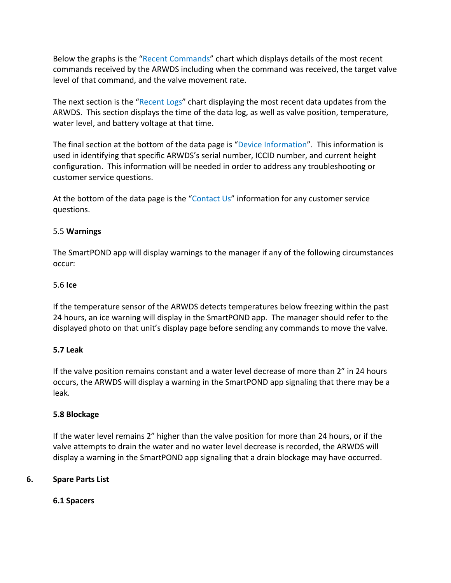Below the graphs is the "Recent Commands" chart which displays details of the most recent commands received by the ARWDS including when the command was received, the target valve level of that command, and the valve movement rate.

The next section is the "Recent Logs" chart displaying the most recent data updates from the ARWDS. This section displays the time of the data log, as well as valve position, temperature, water level, and battery voltage at that time.

The final section at the bottom of the data page is "Device Information". This information is used in identifying that specific ARWDS's serial number, ICCID number, and current height configuration. This information will be needed in order to address any troubleshooting or customer service questions.

At the bottom of the data page is the "Contact Us" information for any customer service questions.

## 5.5 **Warnings**

The SmartPOND app will display warnings to the manager if any of the following circumstances occur:

## 5.6 **Ice**

If the temperature sensor of the ARWDS detects temperatures below freezing within the past 24 hours, an ice warning will display in the SmartPOND app. The manager should refer to the displayed photo on that unit's display page before sending any commands to move the valve.

#### **5.7 Leak**

If the valve position remains constant and a water level decrease of more than 2" in 24 hours occurs, the ARWDS will display a warning in the SmartPOND app signaling that there may be a leak.

#### **5.8 Blockage**

If the water level remains 2" higher than the valve position for more than 24 hours, or if the valve attempts to drain the water and no water level decrease is recorded, the ARWDS will display a warning in the SmartPOND app signaling that a drain blockage may have occurred.

## **6. Spare Parts List**

## **6.1 Spacers**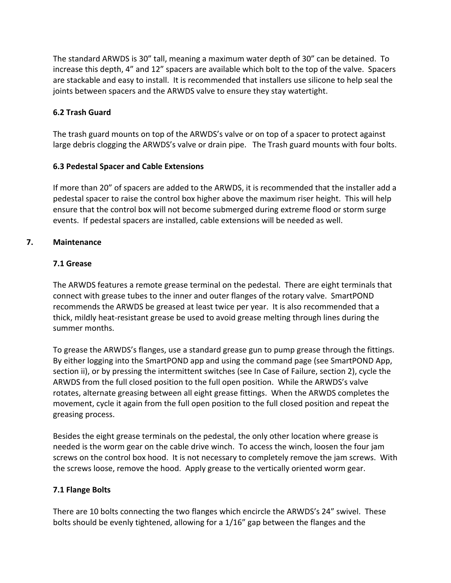The standard ARWDS is 30" tall, meaning a maximum water depth of 30" can be detained. To increase this depth, 4" and 12" spacers are available which bolt to the top of the valve. Spacers are stackable and easy to install. It is recommended that installers use silicone to help seal the joints between spacers and the ARWDS valve to ensure they stay watertight.

## **6.2 Trash Guard**

The trash guard mounts on top of the ARWDS's valve or on top of a spacer to protect against large debris clogging the ARWDS's valve or drain pipe. The Trash guard mounts with four bolts.

## **6.3 Pedestal Spacer and Cable Extensions**

If more than 20" of spacers are added to the ARWDS, it is recommended that the installer add a pedestal spacer to raise the control box higher above the maximum riser height. This will help ensure that the control box will not become submerged during extreme flood or storm surge events. If pedestal spacers are installed, cable extensions will be needed as well.

## **7. Maintenance**

## **7.1 Grease**

The ARWDS features a remote grease terminal on the pedestal. There are eight terminals that connect with grease tubes to the inner and outer flanges of the rotary valve. SmartPOND recommends the ARWDS be greased at least twice per year. It is also recommended that a thick, mildly heat-resistant grease be used to avoid grease melting through lines during the summer months.

To grease the ARWDS's flanges, use a standard grease gun to pump grease through the fittings. By either logging into the SmartPOND app and using the command page (see SmartPOND App, section ii), or by pressing the intermittent switches (see In Case of Failure, section 2), cycle the ARWDS from the full closed position to the full open position. While the ARWDS's valve rotates, alternate greasing between all eight grease fittings. When the ARWDS completes the movement, cycle it again from the full open position to the full closed position and repeat the greasing process.

Besides the eight grease terminals on the pedestal, the only other location where grease is needed is the worm gear on the cable drive winch. To access the winch, loosen the four jam screws on the control box hood. It is not necessary to completely remove the jam screws. With the screws loose, remove the hood. Apply grease to the vertically oriented worm gear.

## **7.1 Flange Bolts**

There are 10 bolts connecting the two flanges which encircle the ARWDS's 24" swivel. These bolts should be evenly tightened, allowing for a 1/16" gap between the flanges and the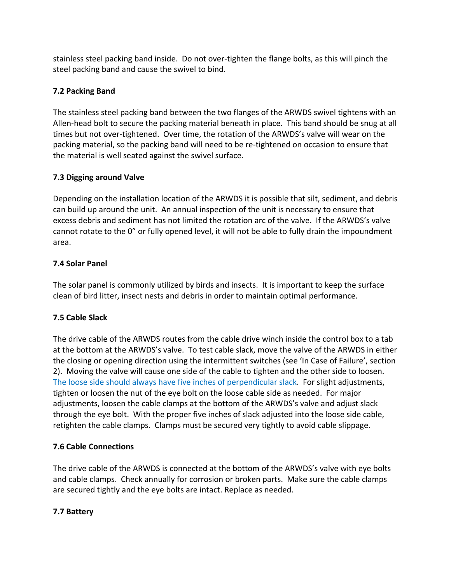stainless steel packing band inside. Do not over-tighten the flange bolts, as this will pinch the steel packing band and cause the swivel to bind.

## **7.2 Packing Band**

The stainless steel packing band between the two flanges of the ARWDS swivel tightens with an Allen-head bolt to secure the packing material beneath in place. This band should be snug at all times but not over-tightened. Over time, the rotation of the ARWDS's valve will wear on the packing material, so the packing band will need to be re-tightened on occasion to ensure that the material is well seated against the swivel surface.

## **7.3 Digging around Valve**

Depending on the installation location of the ARWDS it is possible that silt, sediment, and debris can build up around the unit. An annual inspection of the unit is necessary to ensure that excess debris and sediment has not limited the rotation arc of the valve. If the ARWDS's valve cannot rotate to the 0" or fully opened level, it will not be able to fully drain the impoundment area.

## **7.4 Solar Panel**

The solar panel is commonly utilized by birds and insects. It is important to keep the surface clean of bird litter, insect nests and debris in order to maintain optimal performance.

## **7.5 Cable Slack**

The drive cable of the ARWDS routes from the cable drive winch inside the control box to a tab at the bottom at the ARWDS's valve. To test cable slack, move the valve of the ARWDS in either the closing or opening direction using the intermittent switches (see 'In Case of Failure', section 2). Moving the valve will cause one side of the cable to tighten and the other side to loosen. The loose side should always have five inches of perpendicular slack. For slight adjustments, tighten or loosen the nut of the eye bolt on the loose cable side as needed. For major adjustments, loosen the cable clamps at the bottom of the ARWDS's valve and adjust slack through the eye bolt. With the proper five inches of slack adjusted into the loose side cable, retighten the cable clamps. Clamps must be secured very tightly to avoid cable slippage.

## **7.6 Cable Connections**

The drive cable of the ARWDS is connected at the bottom of the ARWDS's valve with eye bolts and cable clamps. Check annually for corrosion or broken parts. Make sure the cable clamps are secured tightly and the eye bolts are intact. Replace as needed.

## **7.7 Battery**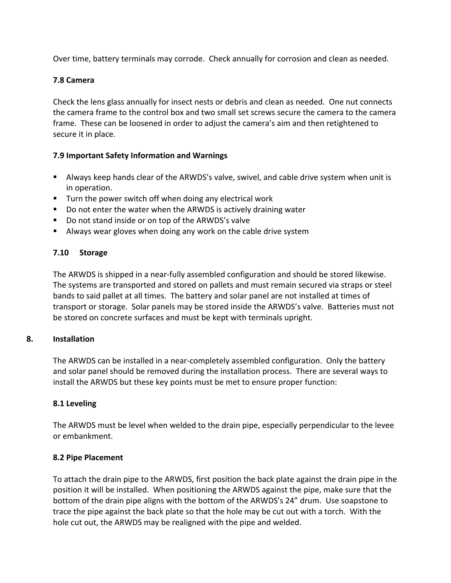Over time, battery terminals may corrode. Check annually for corrosion and clean as needed.

## **7.8 Camera**

Check the lens glass annually for insect nests or debris and clean as needed. One nut connects the camera frame to the control box and two small set screws secure the camera to the camera frame. These can be loosened in order to adjust the camera's aim and then retightened to secure it in place.

## **7.9 Important Safety Information and Warnings**

- Always keep hands clear of the ARWDS's valve, swivel, and cable drive system when unit is in operation.
- Turn the power switch off when doing any electrical work
- Do not enter the water when the ARWDS is actively draining water
- Do not stand inside or on top of the ARWDS's valve
- Always wear gloves when doing any work on the cable drive system

## **7.10 Storage**

The ARWDS is shipped in a near-fully assembled configuration and should be stored likewise. The systems are transported and stored on pallets and must remain secured via straps or steel bands to said pallet at all times. The battery and solar panel are not installed at times of transport or storage. Solar panels may be stored inside the ARWDS's valve. Batteries must not be stored on concrete surfaces and must be kept with terminals upright.

#### **8. Installation**

The ARWDS can be installed in a near-completely assembled configuration. Only the battery and solar panel should be removed during the installation process. There are several ways to install the ARWDS but these key points must be met to ensure proper function:

#### **8.1 Leveling**

The ARWDS must be level when welded to the drain pipe, especially perpendicular to the levee or embankment.

#### **8.2 Pipe Placement**

To attach the drain pipe to the ARWDS, first position the back plate against the drain pipe in the position it will be installed. When positioning the ARWDS against the pipe, make sure that the bottom of the drain pipe aligns with the bottom of the ARWDS's 24" drum. Use soapstone to trace the pipe against the back plate so that the hole may be cut out with a torch. With the hole cut out, the ARWDS may be realigned with the pipe and welded.